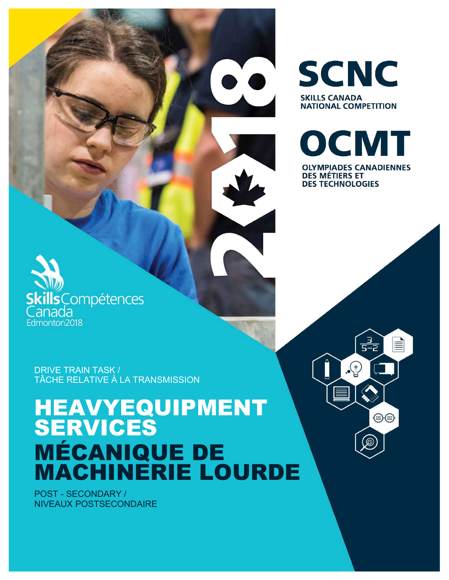DRIVE TRAIN TASK / TÂCHE RELATIVE À LA TRANSMISSION

**ills**Compétences

anada Edmonton2018

# HEAVYEQUIPMENT SERVICES MÉCANIQUE DE MACHINERIE LOURDE

POST - SECONDARY / NIVEAUX POSTSECONDAIRE



**SCNC** 

**NATIONAL COMPETITION** 

**SKILLS CANADA** 

**DES TECHNOLOGIES** 

<u>- 3</u><br>5-2

這

⊜⊜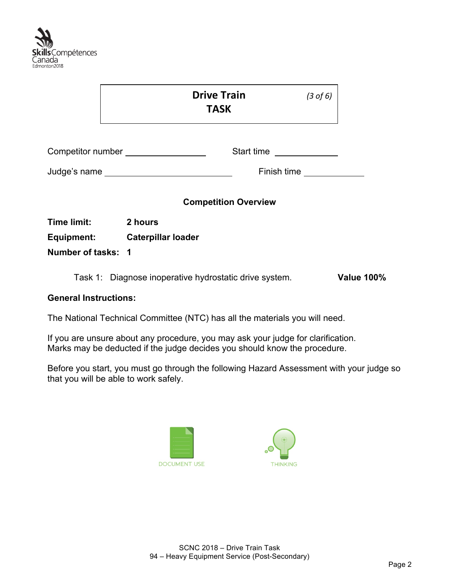

| Competitor number _________________<br>Start time |                                          |                              |
|---------------------------------------------------|------------------------------------------|------------------------------|
|                                                   |                                          |                              |
| <b>Competition Overview</b>                       |                                          |                              |
|                                                   |                                          |                              |
|                                                   |                                          |                              |
|                                                   |                                          |                              |
|                                                   | 2 hours<br>Equipment: Caterpillar loader | Finish time<br><u>Finish</u> |

#### **General Instructions:**

The National Technical Committee (NTC) has all the materials you will need.

If you are unsure about any procedure, you may ask your judge for clarification. Marks may be deducted if the judge decides you should know the procedure.

Before you start, you must go through the following Hazard Assessment with your judge so that you will be able to work safely.



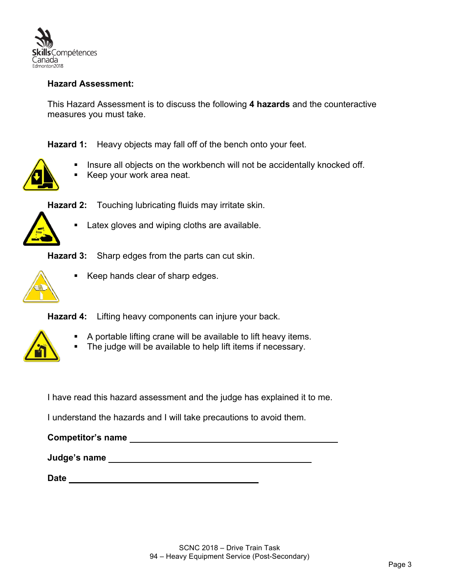

### **Hazard Assessment:**

This Hazard Assessment is to discuss the following **4 hazards** and the counteractive measures you must take.

**Hazard 1:** Heavy objects may fall off of the bench onto your feet.



- Insure all objects on the workbench will not be accidentally knocked off.
- § Keep your work area neat.



- **Hazard 2:** Touching lubricating fluids may irritate skin.
	- Latex gloves and wiping cloths are available.

**Hazard 3:** Sharp edges from the parts can cut skin.



§ Keep hands clear of sharp edges.

**Hazard 4:** Lifting heavy components can injure your back.



- § A portable lifting crane will be available to lift heavy items.
- The judge will be available to help lift items if necessary.

I have read this hazard assessment and the judge has explained it to me.

I understand the hazards and I will take precautions to avoid them.

**Judge's name** 

| <b>Date</b> |  |
|-------------|--|
|             |  |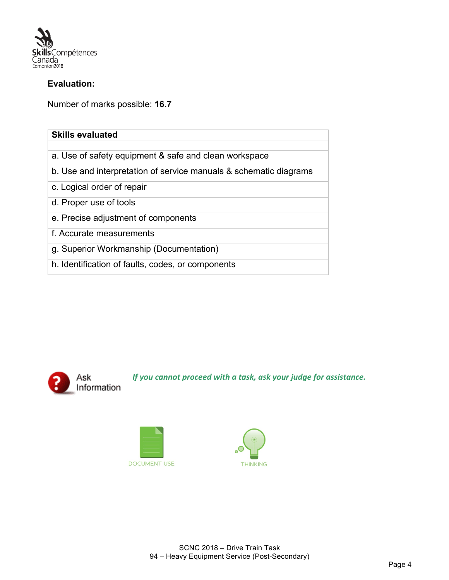

### **Evaluation:**

Number of marks possible: **16.7**

| <b>Skills evaluated</b>                                           |
|-------------------------------------------------------------------|
|                                                                   |
| a. Use of safety equipment & safe and clean workspace             |
| b. Use and interpretation of service manuals & schematic diagrams |
| c. Logical order of repair                                        |
| d. Proper use of tools                                            |
| e. Precise adjustment of components                               |
| f. Accurate measurements                                          |
| g. Superior Workmanship (Documentation)                           |
| h. Identification of faults, codes, or components                 |



*If you cannot proceed with a task, ask your judge for assistance.* 



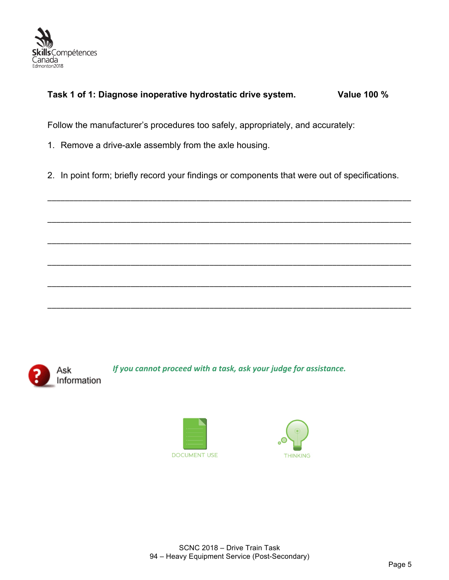

### **Task 1 of 1: Diagnose inoperative hydrostatic drive system. Value 100 %**

Follow the manufacturer's procedures too safely, appropriately, and accurately:

- 1. Remove a drive-axle assembly from the axle housing.
- 2. In point form; briefly record your findings or components that were out of specifications.

\_\_\_\_\_\_\_\_\_\_\_\_\_\_\_\_\_\_\_\_\_\_\_\_\_\_\_\_\_\_\_\_\_\_\_\_\_\_\_\_\_\_\_\_\_\_\_\_\_\_\_\_\_\_\_\_\_\_\_\_\_\_\_\_\_\_\_\_\_\_\_\_\_\_\_\_\_\_\_\_\_\_\_

\_\_\_\_\_\_\_\_\_\_\_\_\_\_\_\_\_\_\_\_\_\_\_\_\_\_\_\_\_\_\_\_\_\_\_\_\_\_\_\_\_\_\_\_\_\_\_\_\_\_\_\_\_\_\_\_\_\_\_\_\_\_\_\_\_\_\_\_\_\_\_\_\_\_\_\_\_\_\_\_\_\_\_

\_\_\_\_\_\_\_\_\_\_\_\_\_\_\_\_\_\_\_\_\_\_\_\_\_\_\_\_\_\_\_\_\_\_\_\_\_\_\_\_\_\_\_\_\_\_\_\_\_\_\_\_\_\_\_\_\_\_\_\_\_\_\_\_\_\_\_\_\_\_\_\_\_\_\_\_\_\_\_\_\_\_\_

\_\_\_\_\_\_\_\_\_\_\_\_\_\_\_\_\_\_\_\_\_\_\_\_\_\_\_\_\_\_\_\_\_\_\_\_\_\_\_\_\_\_\_\_\_\_\_\_\_\_\_\_\_\_\_\_\_\_\_\_\_\_\_\_\_\_\_\_\_\_\_\_\_\_\_\_\_\_\_\_\_\_\_

\_\_\_\_\_\_\_\_\_\_\_\_\_\_\_\_\_\_\_\_\_\_\_\_\_\_\_\_\_\_\_\_\_\_\_\_\_\_\_\_\_\_\_\_\_\_\_\_\_\_\_\_\_\_\_\_\_\_\_\_\_\_\_\_\_\_\_\_\_\_\_\_\_\_\_\_\_\_\_\_\_\_\_

\_\_\_\_\_\_\_\_\_\_\_\_\_\_\_\_\_\_\_\_\_\_\_\_\_\_\_\_\_\_\_\_\_\_\_\_\_\_\_\_\_\_\_\_\_\_\_\_\_\_\_\_\_\_\_\_\_\_\_\_\_\_\_\_\_\_\_\_\_\_\_\_\_\_\_\_\_\_\_\_\_\_\_